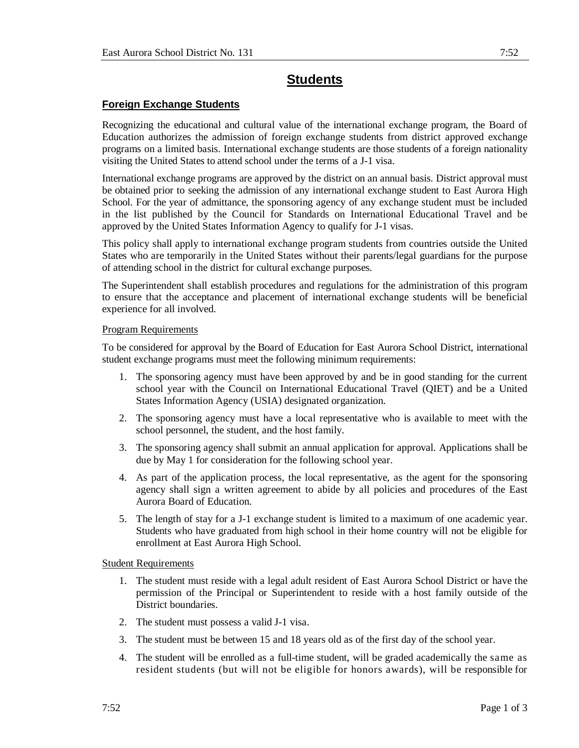# **Students**

## **Foreign Exchange Students**

Recognizing the educational and cultural value of the international exchange program, the Board of Education authorizes the admission of foreign exchange students from district approved exchange programs on a limited basis. International exchange students are those students of a foreign nationality visiting the United States to attend school under the terms of a J-1 visa.

International exchange programs are approved by the district on an annual basis. District approval must be obtained prior to seeking the admission of any international exchange student to East Aurora High School. For the year of admittance, the sponsoring agency of any exchange student must be included in the list published by the Council for Standards on International Educational Travel and be approved by the United States Information Agency to qualify for J-1 visas.

This policy shall apply to international exchange program students from countries outside the United States who are temporarily in the United States without their parents/legal guardians for the purpose of attending school in the district for cultural exchange purposes.

The Superintendent shall establish procedures and regulations for the administration of this program to ensure that the acceptance and placement of international exchange students will be beneficial experience for all involved.

#### Program Requirements

To be considered for approval by the Board of Education for East Aurora School District, international student exchange programs must meet the following minimum requirements:

- 1. The sponsoring agency must have been approved by and be in good standing for the current school year with the Council on International Educational Travel (QIET) and be a United States Information Agency (USIA) designated organization.
- 2. The sponsoring agency must have a local representative who is available to meet with the school personnel, the student, and the host family.
- 3. The sponsoring agency shall submit an annual application for approval. Applications shall be due by May 1 for consideration for the following school year.
- 4. As part of the application process, the local representative, as the agent for the sponsoring agency shall sign a written agreement to abide by all policies and procedures of the East Aurora Board of Education.
- 5. The length of stay for a J-1 exchange student is limited to a maximum of one academic year. Students who have graduated from high school in their home country will not be eligible for enrollment at East Aurora High School.

#### Student Requirements

- 1. The student must reside with a legal adult resident of East Aurora School District or have the permission of the Principal or Superintendent to reside with a host family outside of the District boundaries.
- 2. The student must possess a valid J-1 visa.
- 3. The student must be between 15 and 18 years old as of the first day of the school year.
- 4. The student will be enrolled as a full-time student, will be graded academically the same as resident students (but will not be eligible for honors awards), will be responsible for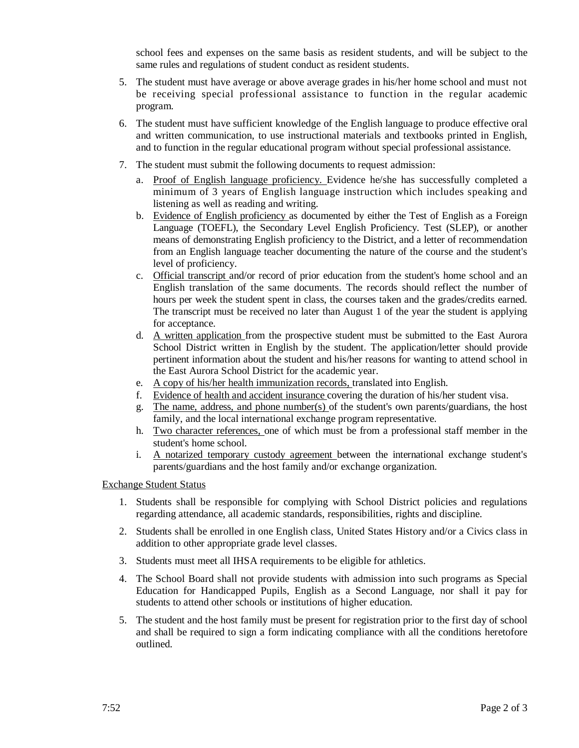school fees and expenses on the same basis as resident students, and will be subject to the same rules and regulations of student conduct as resident students.

- 5. The student must have average or above average grades in his/her home school and must not be receiving special professional assistance to function in the regular academic program.
- 6. The student must have sufficient knowledge of the English language to produce effective oral and written communication, to use instructional materials and textbooks printed in English, and to function in the regular educational program without special professional assistance.
- 7. The student must submit the following documents to request admission:
	- a. Proof of English language proficiency. Evidence he/she has successfully completed a minimum of 3 years of English language instruction which includes speaking and listening as well as reading and writing.
	- b. Evidence of English proficiency as documented by either the Test of English as a Foreign Language (TOEFL), the Secondary Level English Proficiency. Test (SLEP), or another means of demonstrating English proficiency to the District, and a letter of recommendation from an English language teacher documenting the nature of the course and the student's level of proficiency.
	- c. Official transcript and/or record of prior education from the student's home school and an English translation of the same documents. The records should reflect the number of hours per week the student spent in class, the courses taken and the grades/credits earned. The transcript must be received no later than August 1 of the year the student is applying for acceptance.
	- d. A written application from the prospective student must be submitted to the East Aurora School District written in English by the student. The application/letter should provide pertinent information about the student and his/her reasons for wanting to attend school in the East Aurora School District for the academic year.
	- e. A copy of his/her health immunization records, translated into English.
	- f. Evidence of health and accident insurance covering the duration of his/her student visa.
	- g. The name, address, and phone number(s) of the student's own parents/guardians, the host family, and the local international exchange program representative.
	- h. Two character references, one of which must be from a professional staff member in the student's home school.
	- i. A notarized temporary custody agreement between the international exchange student's parents/guardians and the host family and/or exchange organization.

### Exchange Student Status

- 1. Students shall be responsible for complying with School District policies and regulations regarding attendance, all academic standards, responsibilities, rights and discipline.
- 2. Students shall be enrolled in one English class, United States History and/or a Civics class in addition to other appropriate grade level classes.
- 3. Students must meet all IHSA requirements to be eligible for athletics.
- 4. The School Board shall not provide students with admission into such programs as Special Education for Handicapped Pupils, English as a Second Language, nor shall it pay for students to attend other schools or institutions of higher education.
- 5. The student and the host family must be present for registration prior to the first day of school and shall be required to sign a form indicating compliance with all the conditions heretofore outlined.